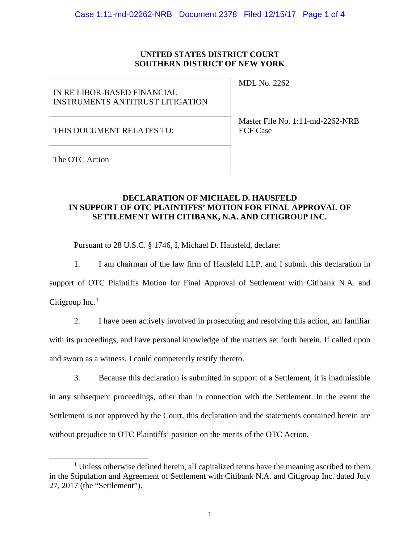## **UNITED STATES DISTRICT COURT SOUTHERN DISTRICT OF NEW YORK**

# IN RE LIBOR-BASED FINANCIAL INSTRUMENTS ANTITRUST LITIGATION

MDL No. 2262

THIS DOCUMENT RELATES TO:

Master File No. 1:11-md-2262-NRB ECF Case

The OTC Action

## **DECLARATION OF MICHAEL D. HAUSFELD IN SUPPORT OF OTC PLAINTIFFS' MOTION FOR FINAL APPROVAL OF SETTLEMENT WITH CITIBANK, N.A. AND CITIGROUP INC.**

Pursuant to 28 U.S.C. § 1746, I, Michael D. Hausfeld, declare:

1. I am chairman of the law firm of Hausfeld LLP, and I submit this declaration in

support of OTC Plaintiffs Motion for Final Approval of Settlement with Citibank N.A. and Citigroup Inc.<sup>[1](#page-0-0)</sup>

2. I have been actively involved in prosecuting and resolving this action, am familiar with its proceedings, and have personal knowledge of the matters set forth herein. If called upon and sworn as a witness, I could competently testify thereto.

3. Because this declaration is submitted in support of a Settlement, it is inadmissible in any subsequent proceedings, other than in connection with the Settlement. In the event the Settlement is not approved by the Court, this declaration and the statements contained herein are without prejudice to OTC Plaintiffs' position on the merits of the OTC Action.

<span id="page-0-0"></span> $1$  Unless otherwise defined herein, all capitalized terms have the meaning ascribed to them in the Stipulation and Agreement of Settlement with Citibank N.A. and Citigroup Inc. dated July 27, 2017 (the "Settlement").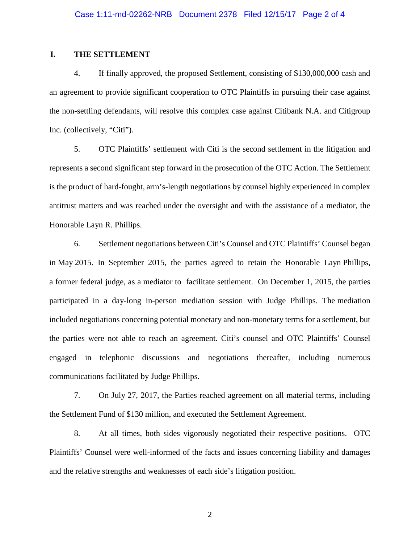## **I. THE SETTLEMENT**

4. If finally approved, the proposed Settlement, consisting of \$130,000,000 cash and an agreement to provide significant cooperation to OTC Plaintiffs in pursuing their case against the non-settling defendants, will resolve this complex case against Citibank N.A. and Citigroup Inc. (collectively, "Citi").

5. OTC Plaintiffs' settlement with Citi is the second settlement in the litigation and represents a second significant step forward in the prosecution of the OTC Action. The Settlement is the product of hard-fought, arm's-length negotiations by counsel highly experienced in complex antitrust matters and was reached under the oversight and with the assistance of a mediator, the Honorable Layn R. Phillips.

6. Settlement negotiations between Citi's Counsel and OTC Plaintiffs' Counsel began in May 2015. In September 2015, the parties agreed to retain the Honorable Layn Phillips, a former federal judge, as a mediator to facilitate settlement. On December 1, 2015, the parties participated in a day-long in-person mediation session with Judge Phillips. The mediation included negotiations concerning potential monetary and non-monetary terms for a settlement, but the parties were not able to reach an agreement. Citi's counsel and OTC Plaintiffs' Counsel engaged in telephonic discussions and negotiations thereafter, including numerous communications facilitated by Judge Phillips.

7. On July 27, 2017, the Parties reached agreement on all material terms, including the Settlement Fund of \$130 million, and executed the Settlement Agreement.

8. At all times, both sides vigorously negotiated their respective positions. OTC Plaintiffs' Counsel were well-informed of the facts and issues concerning liability and damages and the relative strengths and weaknesses of each side's litigation position.

2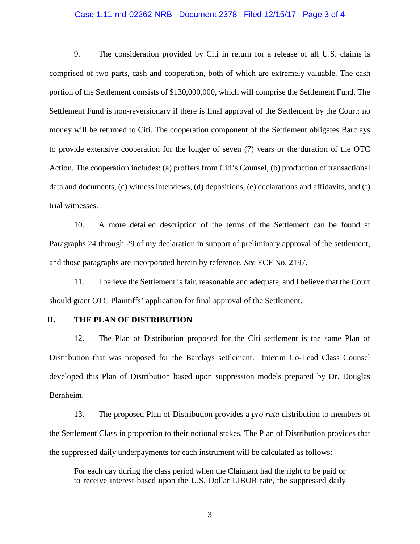#### Case 1:11-md-02262-NRB Document 2378 Filed 12/15/17 Page 3 of 4

9. The consideration provided by Citi in return for a release of all U.S. claims is comprised of two parts, cash and cooperation, both of which are extremely valuable. The cash portion of the Settlement consists of \$130,000,000, which will comprise the Settlement Fund. The Settlement Fund is non-reversionary if there is final approval of the Settlement by the Court; no money will be returned to Citi. The cooperation component of the Settlement obligates Barclays to provide extensive cooperation for the longer of seven (7) years or the duration of the OTC Action. The cooperation includes: (a) proffers from Citi's Counsel, (b) production of transactional data and documents, (c) witness interviews, (d) depositions, (e) declarations and affidavits, and (f) trial witnesses.

10. A more detailed description of the terms of the Settlement can be found at Paragraphs 24 through 29 of my declaration in support of preliminary approval of the settlement, and those paragraphs are incorporated herein by reference. *See* ECF No. 2197.

11. I believe the Settlement is fair, reasonable and adequate, and I believe that the Court should grant OTC Plaintiffs' application for final approval of the Settlement.

### **II. THE PLAN OF DISTRIBUTION**

12. The Plan of Distribution proposed for the Citi settlement is the same Plan of Distribution that was proposed for the Barclays settlement. Interim Co-Lead Class Counsel developed this Plan of Distribution based upon suppression models prepared by Dr. Douglas Bernheim.

13. The proposed Plan of Distribution provides a *pro rata* distribution to members of the Settlement Class in proportion to their notional stakes. The Plan of Distribution provides that the suppressed daily underpayments for each instrument will be calculated as follows:

For each day during the class period when the Claimant had the right to be paid or to receive interest based upon the U.S. Dollar LIBOR rate, the suppressed daily

3